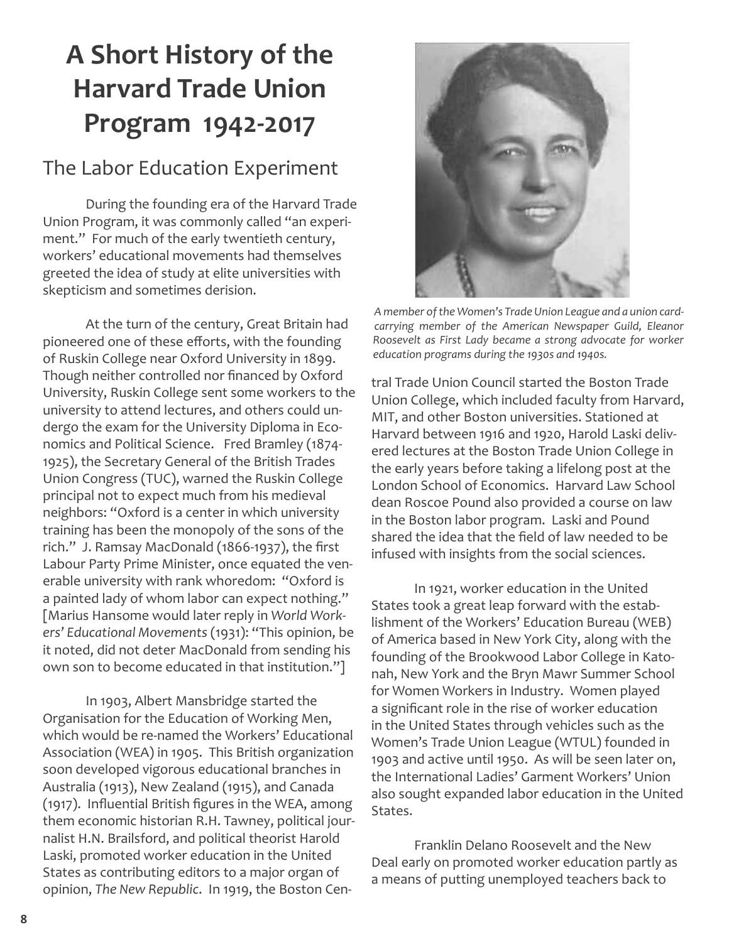## **A Short History of the Harvard Trade Union Program 1942-2017**

## The Labor Education Experiment

 During the founding era of the Harvard Trade Union Program, it was commonly called "an experiment." For much of the early twentieth century, workers' educational movements had themselves greeted the idea of study at elite universities with skepticism and sometimes derision.

 At the turn of the century, Great Britain had pioneered one of these efforts, with the founding of Ruskin College near Oxford University in 1899. Though neither controlled nor financed by Oxford University, Ruskin College sent some workers to the university to attend lectures, and others could undergo the exam for the University Diploma in Economics and Political Science. Fred Bramley (1874- 1925), the Secretary General of the British Trades Union Congress (TUC), warned the Ruskin College principal not to expect much from his medieval neighbors: "Oxford is a center in which university training has been the monopoly of the sons of the rich." J. Ramsay MacDonald ( $1866-1937$ ), the first Labour Party Prime Minister, once equated the venerable university with rank whoredom: "Oxford is a painted lady of whom labor can expect nothing." [Marius Hansome would later reply in *World Workers' Educational Movements* (1931): "This opinion, be it noted, did not deter MacDonald from sending his own son to become educated in that institution."]

 In 1903, Albert Mansbridge started the Organisation for the Education of Working Men, which would be re-named the Workers' Educational Association (WEA) in 1905. This British organization soon developed vigorous educational branches in Australia (1913), New Zealand (1915), and Canada (1917). Influential British figures in the WEA, among them economic historian R.H. Tawney, political journalist H.N. Brailsford, and political theorist Harold Laski, promoted worker education in the United States as contributing editors to a major organ of opinion, *The New Republic*. In 1919, the Boston Cen-



*A member of the Women's Trade Union League and a union cardcarrying member of the American Newspaper Guild, Eleanor Roosevelt as First Lady became a strong advocate for worker education programs during the 1930s and 1940s.*

tral Trade Union Council started the Boston Trade Union College, which included faculty from Harvard, MIT, and other Boston universities. Stationed at Harvard between 1916 and 1920, Harold Laski delivered lectures at the Boston Trade Union College in the early years before taking a lifelong post at the London School of Economics. Harvard Law School dean Roscoe Pound also provided a course on law in the Boston labor program. Laski and Pound shared the idea that the field of law needed to be infused with insights from the social sciences.

 In 1921, worker education in the United States took a great leap forward with the establishment of the Workers' Education Bureau (WEB) of America based in New York City, along with the founding of the Brookwood Labor College in Katonah, New York and the Bryn Mawr Summer School for Women Workers in Industry. Women played a significant role in the rise of worker education in the United States through vehicles such as the Women's Trade Union League (WTUL) founded in 1903 and active until 1950. As will be seen later on, the International Ladies' Garment Workers' Union also sought expanded labor education in the United States.

 Franklin Delano Roosevelt and the New Deal early on promoted worker education partly as a means of putting unemployed teachers back to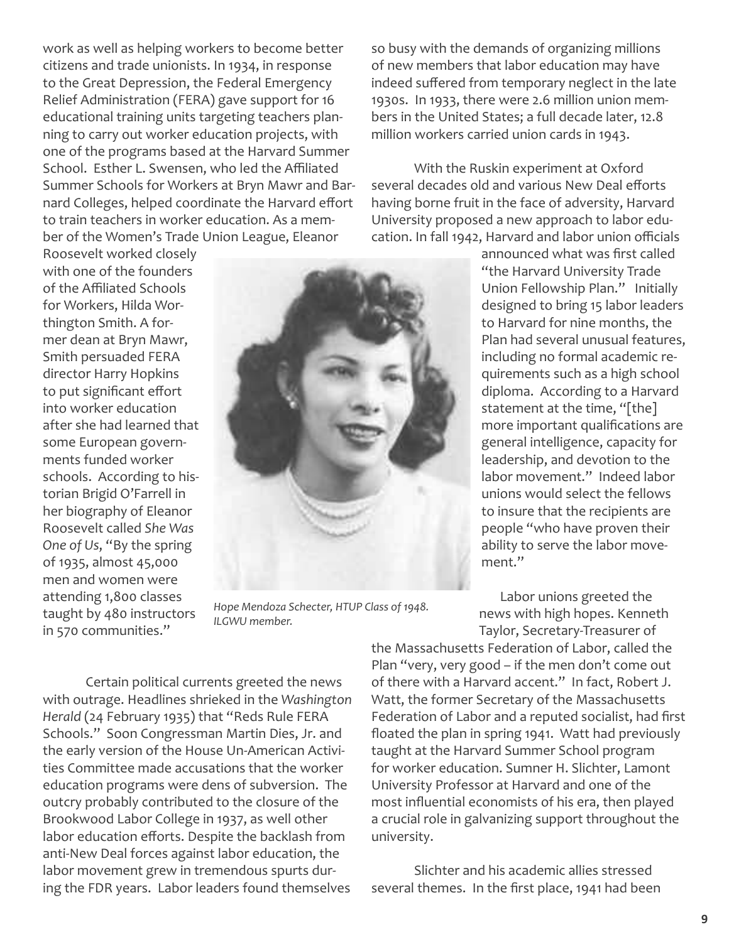work as well as helping workers to become better citizens and trade unionists. In 1934, in response to the Great Depression, the Federal Emergency Relief Administration (FERA) gave support for 16 educational training units targeting teachers planning to carry out worker education projects, with one of the programs based at the Harvard Summer School. Esther L. Swensen, who led the Affiliated Summer Schools for Workers at Bryn Mawr and Barnard Colleges, helped coordinate the Harvard effort to train teachers in worker education. As a member of the Women's Trade Union League, Eleanor

so busy with the demands of organizing millions of new members that labor education may have indeed suffered from temporary neglect in the late 1930s. In 1933, there were 2.6 million union members in the United States; a full decade later, 12.8 million workers carried union cards in 1943.

 With the Ruskin experiment at Oxford several decades old and various New Deal efforts having borne fruit in the face of adversity, Harvard University proposed a new approach to labor education. In fall 1942, Harvard and labor union officials

Roosevelt worked closely with one of the founders of the Affiliated Schools for Workers, Hilda Worthington Smith. A former dean at Bryn Mawr, Smith persuaded FERA director Harry Hopkins to put significant effort into worker education after she had learned that some European governments funded worker schools. According to historian Brigid O'Farrell in her biography of Eleanor Roosevelt called *She Was One of Us*, "By the spring of 1935, almost 45,000 men and women were attending 1,800 classes taught by 480 instructors in 570 communities."



*Hope Mendoza Schecter, HTUP Class of 1948. ILGWU member.*

announced what was first called "the Harvard University Trade Union Fellowship Plan." Initially designed to bring 15 labor leaders to Harvard for nine months, the Plan had several unusual features, including no formal academic requirements such as a high school diploma. According to a Harvard statement at the time, "[the] more important qualifications are general intelligence, capacity for leadership, and devotion to the labor movement." Indeed labor unions would select the fellows to insure that the recipients are people "who have proven their ability to serve the labor movement."

 Labor unions greeted the news with high hopes. Kenneth Taylor, Secretary-Treasurer of

 Certain political currents greeted the news with outrage. Headlines shrieked in the *Washington Herald* (24 February 1935) that "Reds Rule FERA Schools." Soon Congressman Martin Dies, Jr. and the early version of the House Un-American Activities Committee made accusations that the worker education programs were dens of subversion. The outcry probably contributed to the closure of the Brookwood Labor College in 1937, as well other labor education efforts. Despite the backlash from anti-New Deal forces against labor education, the labor movement grew in tremendous spurts during the FDR years. Labor leaders found themselves

the Massachusetts Federation of Labor, called the Plan "very, very good – if the men don't come out of there with a Harvard accent." In fact, Robert J. Watt, the former Secretary of the Massachusetts Federation of Labor and a reputed socialist, had first floated the plan in spring 1941. Watt had previously taught at the Harvard Summer School program for worker education. Sumner H. Slichter, Lamont University Professor at Harvard and one of the most influential economists of his era, then played a crucial role in galvanizing support throughout the university.

 Slichter and his academic allies stressed several themes. In the first place, 1941 had been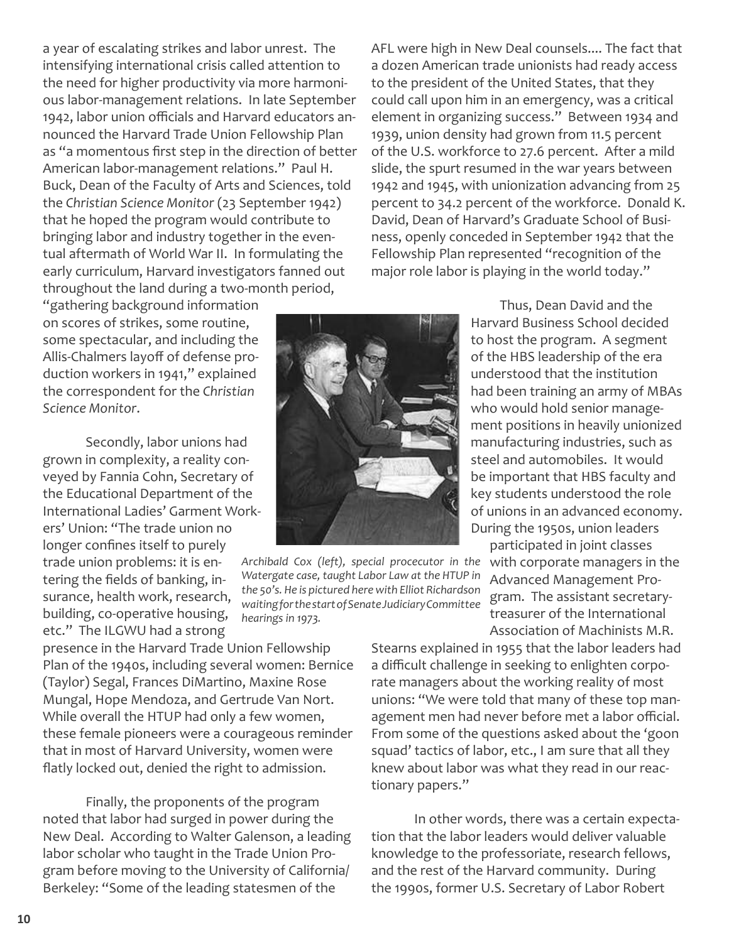a year of escalating strikes and labor unrest. The intensifying international crisis called attention to the need for higher productivity via more harmonious labor-management relations. In late September 1942, labor union officials and Harvard educators announced the Harvard Trade Union Fellowship Plan as "a momentous first step in the direction of better American labor-management relations." Paul H. Buck, Dean of the Faculty of Arts and Sciences, told the *Christian Science Monitor* (23 September 1942) that he hoped the program would contribute to bringing labor and industry together in the eventual aftermath of World War II. In formulating the early curriculum, Harvard investigators fanned out throughout the land during a two-month period,

"gathering background information on scores of strikes, some routine, some spectacular, and including the Allis-Chalmers layoff of defense production workers in 1941," explained the correspondent for the *Christian Science Monitor*.

 Secondly, labor unions had grown in complexity, a reality conveyed by Fannia Cohn, Secretary of the Educational Department of the International Ladies' Garment Workers' Union: "The trade union no longer confines itself to purely trade union problems: it is entering the fields of banking, insurance, health work, research, building, co-operative housing, etc." The ILGWU had a strong

presence in the Harvard Trade Union Fellowship Plan of the 1940s, including several women: Bernice (Taylor) Segal, Frances DiMartino, Maxine Rose Mungal, Hope Mendoza, and Gertrude Van Nort. While overall the HTUP had only a few women, these female pioneers were a courageous reminder that in most of Harvard University, women were flatly locked out, denied the right to admission.

 Finally, the proponents of the program noted that labor had surged in power during the New Deal. According to Walter Galenson, a leading labor scholar who taught in the Trade Union Program before moving to the University of California/ Berkeley: "Some of the leading statesmen of the



*Archibald Cox (left), special procecutor in the Watergate case, taught Labor Law at the HTUP in the 50's. He is pictured here with Elliot Richardson waiting for the start of Senate Judiciary Committee hearings in 1973.*

AFL were high in New Deal counsels.... The fact that a dozen American trade unionists had ready access to the president of the United States, that they could call upon him in an emergency, was a critical element in organizing success." Between 1934 and 1939, union density had grown from 11.5 percent of the U.S. workforce to 27.6 percent. After a mild slide, the spurt resumed in the war years between 1942 and 1945, with unionization advancing from 25 percent to 34.2 percent of the workforce. Donald K. David, Dean of Harvard's Graduate School of Business, openly conceded in September 1942 that the Fellowship Plan represented "recognition of the major role labor is playing in the world today."

> Thus, Dean David and the Harvard Business School decided to host the program. A segment of the HBS leadership of the era understood that the institution had been training an army of MBAs who would hold senior management positions in heavily unionized manufacturing industries, such as steel and automobiles. It would be important that HBS faculty and key students understood the role of unions in an advanced economy. During the 1950s, union leaders

participated in joint classes with corporate managers in the Advanced Management Program. The assistant secretarytreasurer of the International Association of Machinists M.R.

Stearns explained in 1955 that the labor leaders had a difficult challenge in seeking to enlighten corporate managers about the working reality of most unions: "We were told that many of these top management men had never before met a labor official. From some of the questions asked about the 'goon squad' tactics of labor, etc., I am sure that all they knew about labor was what they read in our reactionary papers."

 In other words, there was a certain expectation that the labor leaders would deliver valuable knowledge to the professoriate, research fellows, and the rest of the Harvard community. During the 1990s, former U.S. Secretary of Labor Robert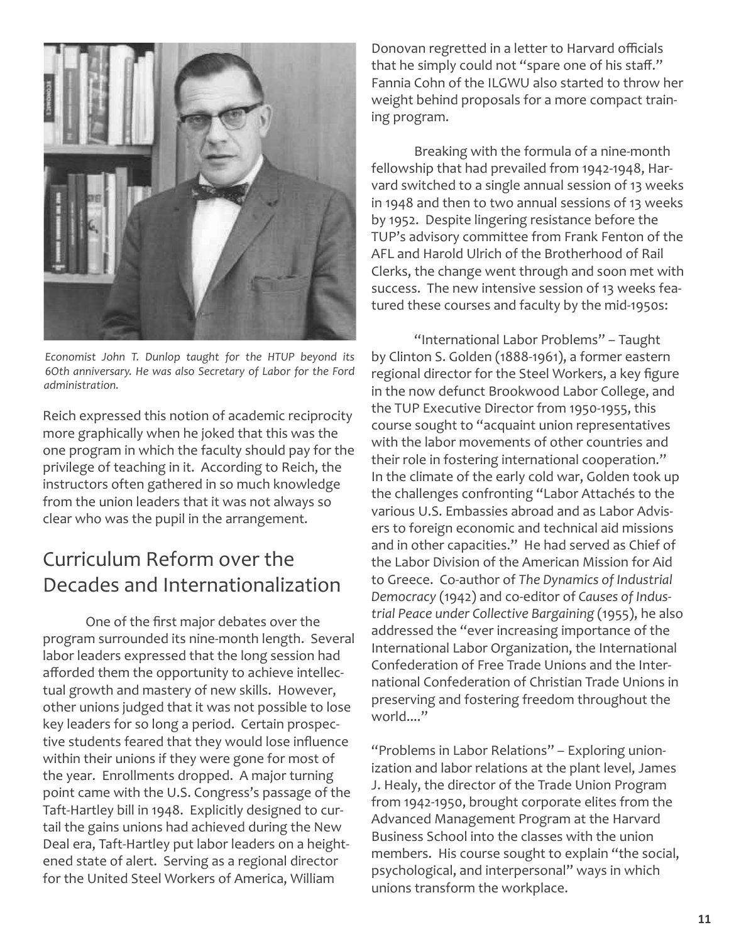

*Economist John T. Dunlop taught for the HTUP beyond its 6Oth anniversary. He was also Secretary of Labor for the Ford administration.*

Reich expressed this notion of academic reciprocity more graphically when he joked that this was the one program in which the faculty should pay for the privilege of teaching in it. According to Reich, the instructors often gathered in so much knowledge from the union leaders that it was not always so clear who was the pupil in the arrangement.

## Curriculum Reform over the Decades and Internationalization

One of the first major debates over the program surrounded its nine-month length. Several labor leaders expressed that the long session had afforded them the opportunity to achieve intellectual growth and mastery of new skills. However, other unions judged that it was not possible to lose key leaders for so long a period. Certain prospective students feared that they would lose influence within their unions if they were gone for most of the year. Enrollments dropped. A major turning point came with the U.S. Congress's passage of the Taft-Hartley bill in 1948. Explicitly designed to curtail the gains unions had achieved during the New Deal era, Taft-Hartley put labor leaders on a heightened state of alert. Serving as a regional director for the United Steel Workers of America, William

Donovan regretted in a letter to Harvard officials that he simply could not "spare one of his staff." Fannia Cohn of the ILGWU also started to throw her weight behind proposals for a more compact training program.

 Breaking with the formula of a nine-month fellowship that had prevailed from 1942-1948, Harvard switched to a single annual session of 13 weeks in 1948 and then to two annual sessions of 13 weeks by 1952. Despite lingering resistance before the TUP's advisory committee from Frank Fenton of the AFL and Harold Ulrich of the Brotherhood of Rail Clerks, the change went through and soon met with success. The new intensive session of 13 weeks featured these courses and faculty by the mid-1950s:

 "International Labor Problems" – Taught by Clinton S. Golden (1888-1961), a former eastern regional director for the Steel Workers, a key figure in the now defunct Brookwood Labor College, and the TUP Executive Director from 1950-1955, this course sought to "acquaint union representatives with the labor movements of other countries and their role in fostering international cooperation." In the climate of the early cold war, Golden took up the challenges confronting "Labor Attachés to the various U.S. Embassies abroad and as Labor Advisers to foreign economic and technical aid missions and in other capacities." He had served as Chief of the Labor Division of the American Mission for Aid to Greece. Co-author of *The Dynamics of Industrial Democracy* (1942) and co-editor of *Causes of Industrial Peace under Collective Bargaining* (1955), he also addressed the "ever increasing importance of the International Labor Organization, the International Confederation of Free Trade Unions and the International Confederation of Christian Trade Unions in preserving and fostering freedom throughout the world...."

"Problems in Labor Relations" – Exploring unionization and labor relations at the plant level, James J. Healy, the director of the Trade Union Program from 1942-1950, brought corporate elites from the Advanced Management Program at the Harvard Business School into the classes with the union members. His course sought to explain "the social, psychological, and interpersonal" ways in which unions transform the workplace.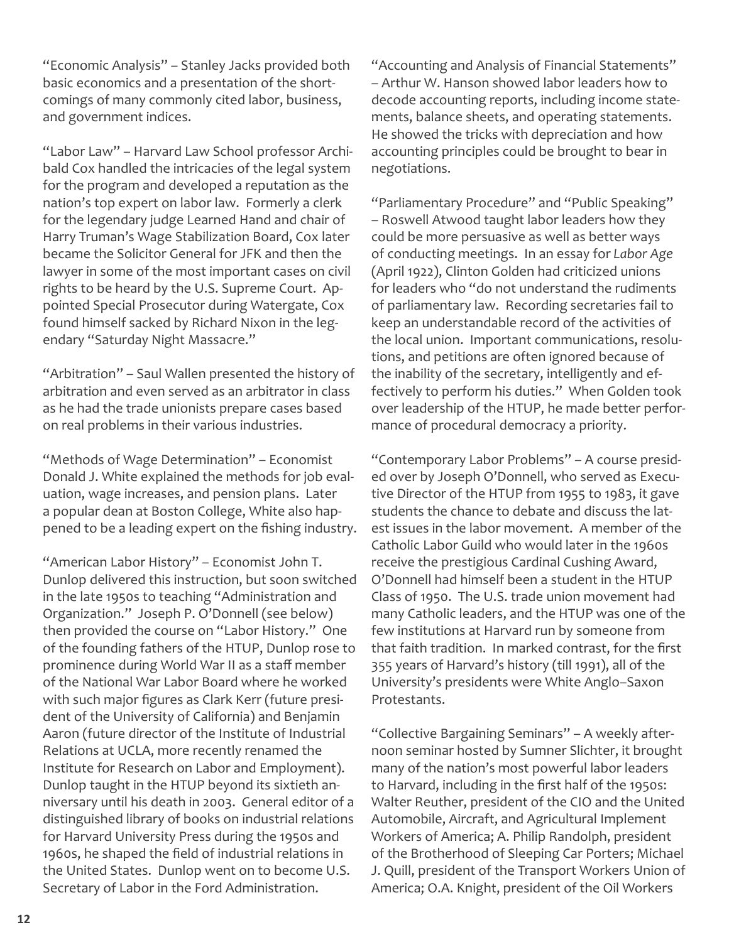"Economic Analysis" – Stanley Jacks provided both basic economics and a presentation of the shortcomings of many commonly cited labor, business, and government indices.

"Labor Law" – Harvard Law School professor Archibald Cox handled the intricacies of the legal system for the program and developed a reputation as the nation's top expert on labor law. Formerly a clerk for the legendary judge Learned Hand and chair of Harry Truman's Wage Stabilization Board, Cox later became the Solicitor General for JFK and then the lawyer in some of the most important cases on civil rights to be heard by the U.S. Supreme Court. Appointed Special Prosecutor during Watergate, Cox found himself sacked by Richard Nixon in the legendary "Saturday Night Massacre."

"Arbitration" – Saul Wallen presented the history of arbitration and even served as an arbitrator in class as he had the trade unionists prepare cases based on real problems in their various industries.

"Methods of Wage Determination" – Economist Donald J. White explained the methods for job evaluation, wage increases, and pension plans. Later a popular dean at Boston College, White also happened to be a leading expert on the fishing industry.

"American Labor History" – Economist John T. Dunlop delivered this instruction, but soon switched in the late 1950s to teaching "Administration and Organization." Joseph P. O'Donnell (see below) then provided the course on "Labor History." One of the founding fathers of the HTUP, Dunlop rose to prominence during World War II as a staff member of the National War Labor Board where he worked with such major figures as Clark Kerr (future president of the University of California) and Benjamin Aaron (future director of the Institute of Industrial Relations at UCLA, more recently renamed the Institute for Research on Labor and Employment). Dunlop taught in the HTUP beyond its sixtieth anniversary until his death in 2003. General editor of a distinguished library of books on industrial relations for Harvard University Press during the 1950s and 1960s, he shaped the field of industrial relations in the United States. Dunlop went on to become U.S. Secretary of Labor in the Ford Administration.

"Accounting and Analysis of Financial Statements" – Arthur W. Hanson showed labor leaders how to decode accounting reports, including income statements, balance sheets, and operating statements. He showed the tricks with depreciation and how accounting principles could be brought to bear in negotiations.

"Parliamentary Procedure" and "Public Speaking" – Roswell Atwood taught labor leaders how they could be more persuasive as well as better ways of conducting meetings. In an essay for *Labor Age* (April 1922), Clinton Golden had criticized unions for leaders who "do not understand the rudiments of parliamentary law. Recording secretaries fail to keep an understandable record of the activities of the local union. Important communications, resolutions, and petitions are often ignored because of the inability of the secretary, intelligently and effectively to perform his duties." When Golden took over leadership of the HTUP, he made better performance of procedural democracy a priority.

"Contemporary Labor Problems" – A course presided over by Joseph O'Donnell, who served as Executive Director of the HTUP from 1955 to 1983, it gave students the chance to debate and discuss the latest issues in the labor movement. A member of the Catholic Labor Guild who would later in the 1960s receive the prestigious Cardinal Cushing Award, O'Donnell had himself been a student in the HTUP Class of 1950. The U.S. trade union movement had many Catholic leaders, and the HTUP was one of the few institutions at Harvard run by someone from that faith tradition. In marked contrast, for the first 355 years of Harvard's history (till 1991), all of the University's presidents were White Anglo–Saxon Protestants.

"Collective Bargaining Seminars" – A weekly afternoon seminar hosted by Sumner Slichter, it brought many of the nation's most powerful labor leaders to Harvard, including in the first half of the 1950s: Walter Reuther, president of the CIO and the United Automobile, Aircraft, and Agricultural Implement Workers of America; A. Philip Randolph, president of the Brotherhood of Sleeping Car Porters; Michael J. Quill, president of the Transport Workers Union of America; O.A. Knight, president of the Oil Workers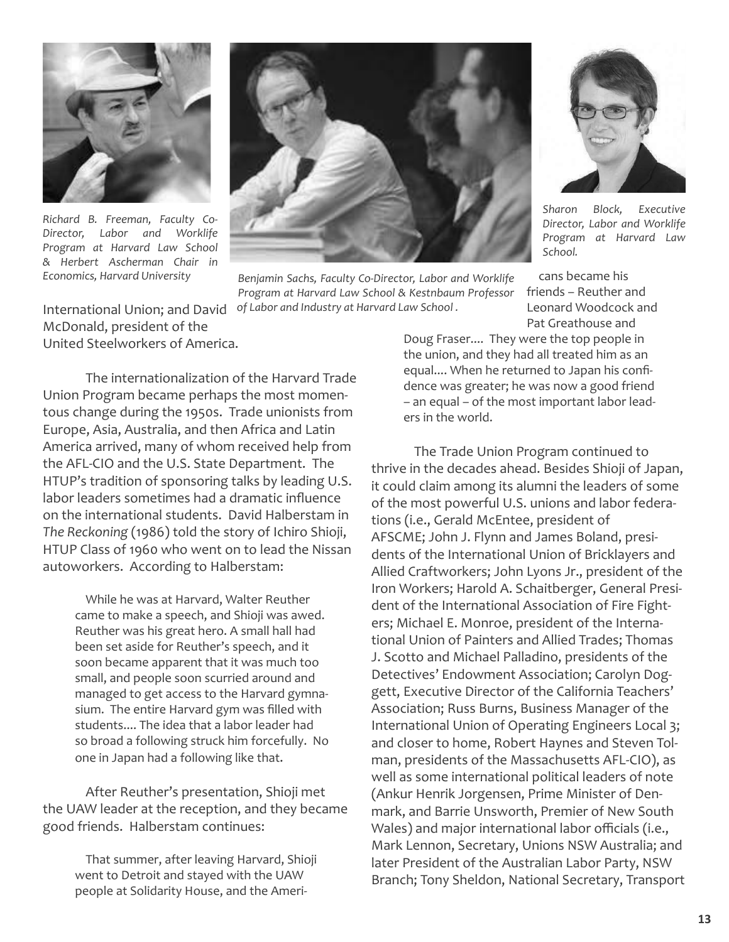

*Richard B. Freeman, Faculty Co-Director, Labor and Worklife Program at Harvard Law School & Herbert Ascherman Chair in* 



International Union; and David *of Labor and Industry at Harvard Law School . Economics, Harvard University Benjamin Sachs, Faculty Co-Director, Labor and Worklife Program at Harvard Law School & Kestnbaum Professor* 



*Sharon Block, Executive Director, Labor and Worklife Program at Harvard Law School.*

cans became his friends – Reuther and Leonard Woodcock and Pat Greathouse and

McDonald, president of the United Steelworkers of America.

 The internationalization of the Harvard Trade Union Program became perhaps the most momentous change during the 1950s. Trade unionists from Europe, Asia, Australia, and then Africa and Latin America arrived, many of whom received help from the AFL-CIO and the U.S. State Department. The HTUP's tradition of sponsoring talks by leading U.S. labor leaders sometimes had a dramatic influence on the international students. David Halberstam in *The Reckoning* (1986) told the story of Ichiro Shioji, HTUP Class of 1960 who went on to lead the Nissan autoworkers. According to Halberstam:

> While he was at Harvard, Walter Reuther came to make a speech, and Shioji was awed. Reuther was his great hero. A small hall had been set aside for Reuther's speech, and it soon became apparent that it was much too small, and people soon scurried around and managed to get access to the Harvard gymnasium. The entire Harvard gym was filled with students.... The idea that a labor leader had so broad a following struck him forcefully. No one in Japan had a following like that.

 After Reuther's presentation, Shioji met the UAW leader at the reception, and they became good friends. Halberstam continues:

> That summer, after leaving Harvard, Shioji went to Detroit and stayed with the UAW people at Solidarity House, and the Ameri-

Doug Fraser.... They were the top people in the union, and they had all treated him as an equal.... When he returned to Japan his confidence was greater; he was now a good friend – an equal – of the most important labor leaders in the world.

 The Trade Union Program continued to thrive in the decades ahead. Besides Shioji of Japan, it could claim among its alumni the leaders of some of the most powerful U.S. unions and labor federations (i.e., Gerald McEntee, president of AFSCME; John J. Flynn and James Boland, presidents of the International Union of Bricklayers and Allied Craftworkers; John Lyons Jr., president of the Iron Workers; Harold A. Schaitberger, General President of the International Association of Fire Fighters; Michael E. Monroe, president of the International Union of Painters and Allied Trades; Thomas J. Scotto and Michael Palladino, presidents of the Detectives' Endowment Association; Carolyn Doggett, Executive Director of the California Teachers' Association; Russ Burns, Business Manager of the International Union of Operating Engineers Local 3; and closer to home, Robert Haynes and Steven Tolman, presidents of the Massachusetts AFL-CIO), as well as some international political leaders of note (Ankur Henrik Jorgensen, Prime Minister of Denmark, and Barrie Unsworth, Premier of New South Wales) and major international labor officials (i.e., Mark Lennon, Secretary, Unions NSW Australia; and later President of the Australian Labor Party, NSW Branch; Tony Sheldon, National Secretary, Transport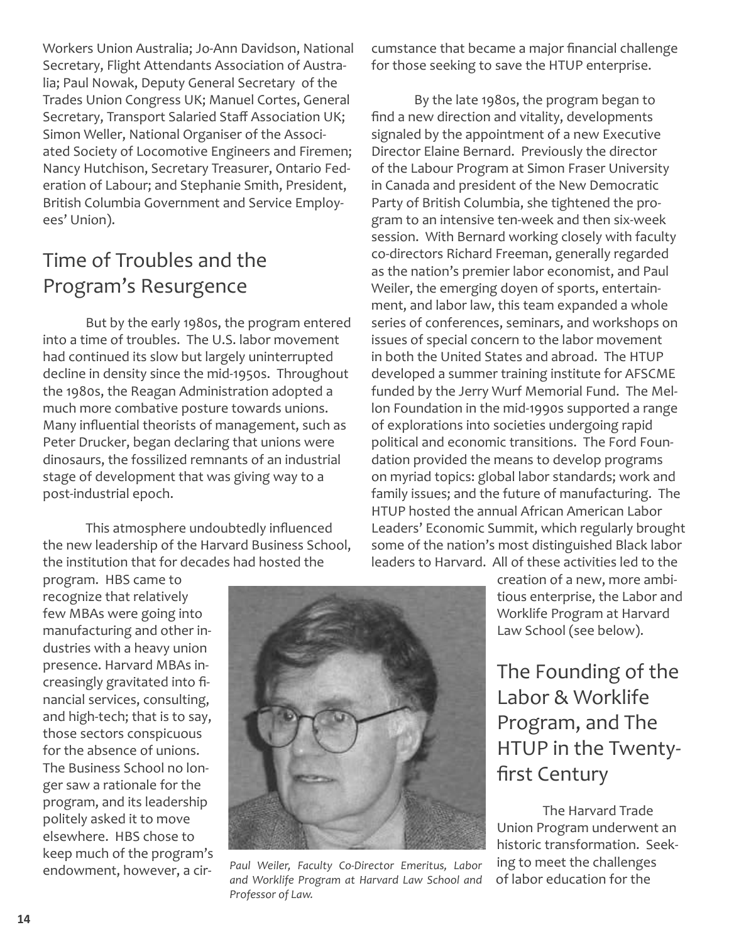Workers Union Australia; Jo-Ann Davidson, National Secretary, Flight Attendants Association of Australia; Paul Nowak, Deputy General Secretary of the Trades Union Congress UK; Manuel Cortes, General Secretary, Transport Salaried Staff Association UK; Simon Weller, National Organiser of the Associated Society of Locomotive Engineers and Firemen; Nancy Hutchison, Secretary Treasurer, Ontario Federation of Labour; and Stephanie Smith, President, British Columbia Government and Service Employees' Union).

## Time of Troubles and the Program's Resurgence

 But by the early 1980s, the program entered into a time of troubles. The U.S. labor movement had continued its slow but largely uninterrupted decline in density since the mid-1950s. Throughout the 1980s, the Reagan Administration adopted a much more combative posture towards unions. Many influential theorists of management, such as Peter Drucker, began declaring that unions were dinosaurs, the fossilized remnants of an industrial stage of development that was giving way to a post-industrial epoch.

This atmosphere undoubtedly influenced the new leadership of the Harvard Business School, the institution that for decades had hosted the

cumstance that became a major financial challenge for those seeking to save the HTUP enterprise.

 By the late 1980s, the program began to find a new direction and vitality, developments signaled by the appointment of a new Executive Director Elaine Bernard. Previously the director of the Labour Program at Simon Fraser University in Canada and president of the New Democratic Party of British Columbia, she tightened the program to an intensive ten-week and then six-week session. With Bernard working closely with faculty co-directors Richard Freeman, generally regarded as the nation's premier labor economist, and Paul Weiler, the emerging doyen of sports, entertainment, and labor law, this team expanded a whole series of conferences, seminars, and workshops on issues of special concern to the labor movement in both the United States and abroad. The HTUP developed a summer training institute for AFSCME funded by the Jerry Wurf Memorial Fund. The Mellon Foundation in the mid-1990s supported a range of explorations into societies undergoing rapid political and economic transitions. The Ford Foundation provided the means to develop programs on myriad topics: global labor standards; work and family issues; and the future of manufacturing. The HTUP hosted the annual African American Labor Leaders' Economic Summit, which regularly brought some of the nation's most distinguished Black labor leaders to Harvard. All of these activities led to the

program. HBS came to recognize that relatively few MBAs were going into manufacturing and other industries with a heavy union presence. Harvard MBAs increasingly gravitated into financial services, consulting, and high-tech; that is to say, those sectors conspicuous for the absence of unions. The Business School no longer saw a rationale for the program, and its leadership politely asked it to move elsewhere. HBS chose to keep much of the program's endowment, however, a cir-



*Paul Weiler, Faculty Co-Director Emeritus, Labor and Worklife Program at Harvard Law School and Professor of Law.*

creation of a new, more ambitious enterprise, the Labor and Worklife Program at Harvard Law School (see below).

The Founding of the Labor & Worklife Program, and The HTUP in the Twentyfirst Century

 The Harvard Trade Union Program underwent an historic transformation. Seeking to meet the challenges of labor education for the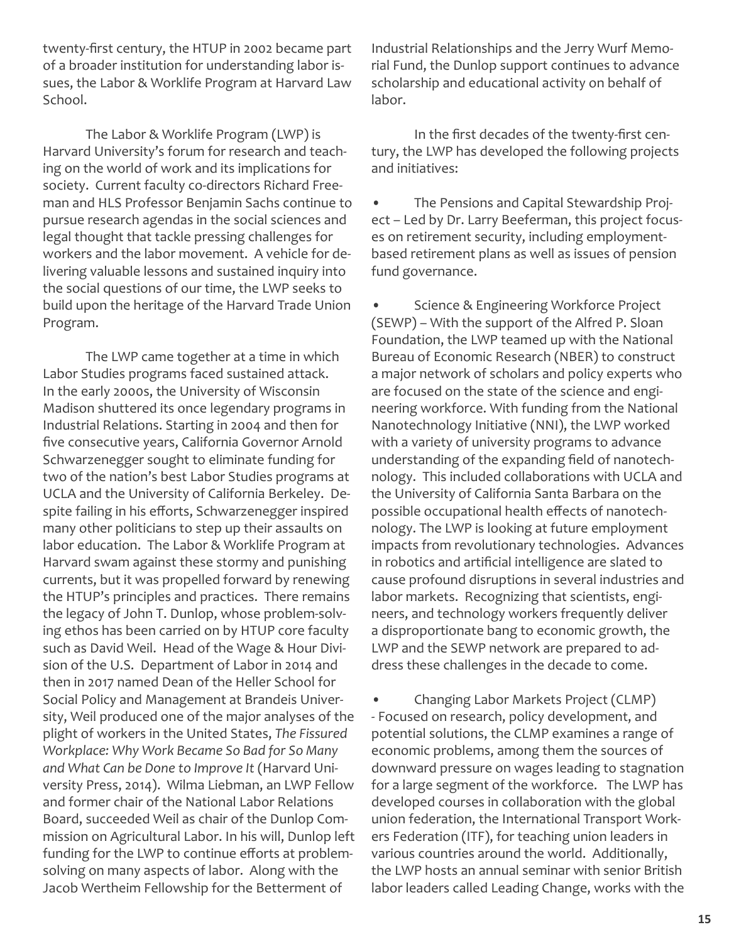twenty-first century, the HTUP in 2002 became part of a broader institution for understanding labor issues, the Labor & Worklife Program at Harvard Law School.

 The Labor & Worklife Program (LWP) is Harvard University's forum for research and teaching on the world of work and its implications for society. Current faculty co-directors Richard Freeman and HLS Professor Benjamin Sachs continue to pursue research agendas in the social sciences and legal thought that tackle pressing challenges for workers and the labor movement. A vehicle for delivering valuable lessons and sustained inquiry into the social questions of our time, the LWP seeks to build upon the heritage of the Harvard Trade Union Program.

 The LWP came together at a time in which Labor Studies programs faced sustained attack. In the early 2000s, the University of Wisconsin Madison shuttered its once legendary programs in Industrial Relations. Starting in 2004 and then for five consecutive years, California Governor Arnold Schwarzenegger sought to eliminate funding for two of the nation's best Labor Studies programs at UCLA and the University of California Berkeley. Despite failing in his efforts, Schwarzenegger inspired many other politicians to step up their assaults on labor education. The Labor & Worklife Program at Harvard swam against these stormy and punishing currents, but it was propelled forward by renewing the HTUP's principles and practices. There remains the legacy of John T. Dunlop, whose problem-solving ethos has been carried on by HTUP core faculty such as David Weil. Head of the Wage & Hour Division of the U.S. Department of Labor in 2014 and then in 2017 named Dean of the Heller School for Social Policy and Management at Brandeis University, Weil produced one of the major analyses of the plight of workers in the United States, *The Fissured Workplace: Why Work Became So Bad for So Many and What Can be Done to Improve It* (Harvard University Press, 2014). Wilma Liebman, an LWP Fellow and former chair of the National Labor Relations Board, succeeded Weil as chair of the Dunlop Commission on Agricultural Labor. In his will, Dunlop left funding for the LWP to continue efforts at problemsolving on many aspects of labor. Along with the Jacob Wertheim Fellowship for the Betterment of

Industrial Relationships and the Jerry Wurf Memorial Fund, the Dunlop support continues to advance scholarship and educational activity on behalf of labor.

In the first decades of the twenty-first century, the LWP has developed the following projects and initiatives:

• The Pensions and Capital Stewardship Project – Led by Dr. Larry Beeferman, this project focuses on retirement security, including employmentbased retirement plans as well as issues of pension fund governance.

• Science & Engineering Workforce Project (SEWP) – With the support of the Alfred P. Sloan Foundation, the LWP teamed up with the National Bureau of Economic Research (NBER) to construct a major network of scholars and policy experts who are focused on the state of the science and engineering workforce. With funding from the National Nanotechnology Initiative (NNI), the LWP worked with a variety of university programs to advance understanding of the expanding field of nanotechnology. This included collaborations with UCLA and the University of California Santa Barbara on the possible occupational health effects of nanotechnology. The LWP is looking at future employment impacts from revolutionary technologies. Advances in robotics and artificial intelligence are slated to cause profound disruptions in several industries and labor markets. Recognizing that scientists, engineers, and technology workers frequently deliver a disproportionate bang to economic growth, the LWP and the SEWP network are prepared to address these challenges in the decade to come.

• Changing Labor Markets Project (CLMP) - Focused on research, policy development, and potential solutions, the CLMP examines a range of economic problems, among them the sources of downward pressure on wages leading to stagnation for a large segment of the workforce. The LWP has developed courses in collaboration with the global union federation, the International Transport Workers Federation (ITF), for teaching union leaders in various countries around the world. Additionally, the LWP hosts an annual seminar with senior British labor leaders called Leading Change, works with the